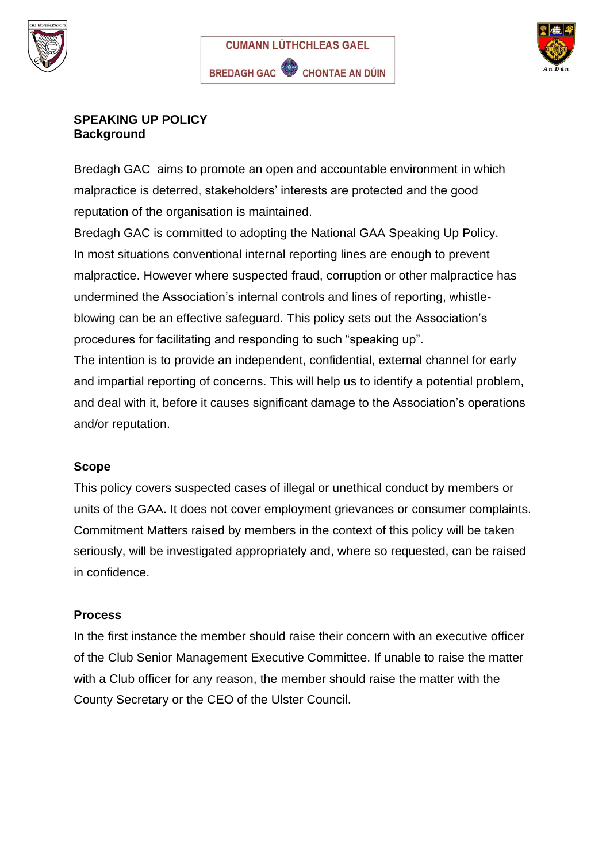





#### **SPEAKING UP POLICY Background**

Bredagh GAC aims to promote an open and accountable environment in which malpractice is deterred, stakeholders' interests are protected and the good reputation of the organisation is maintained.

Bredagh GAC is committed to adopting the National GAA Speaking Up Policy. In most situations conventional internal reporting lines are enough to prevent malpractice. However where suspected fraud, corruption or other malpractice has undermined the Association's internal controls and lines of reporting, whistleblowing can be an effective safeguard. This policy sets out the Association's procedures for facilitating and responding to such "speaking up".

The intention is to provide an independent, confidential, external channel for early and impartial reporting of concerns. This will help us to identify a potential problem, and deal with it, before it causes significant damage to the Association's operations and/or reputation.

## **Scope**

This policy covers suspected cases of illegal or unethical conduct by members or units of the GAA. It does not cover employment grievances or consumer complaints. Commitment Matters raised by members in the context of this policy will be taken seriously, will be investigated appropriately and, where so requested, can be raised in confidence.

## **Process**

In the first instance the member should raise their concern with an executive officer of the Club Senior Management Executive Committee. If unable to raise the matter with a Club officer for any reason, the member should raise the matter with the County Secretary or the CEO of the Ulster Council.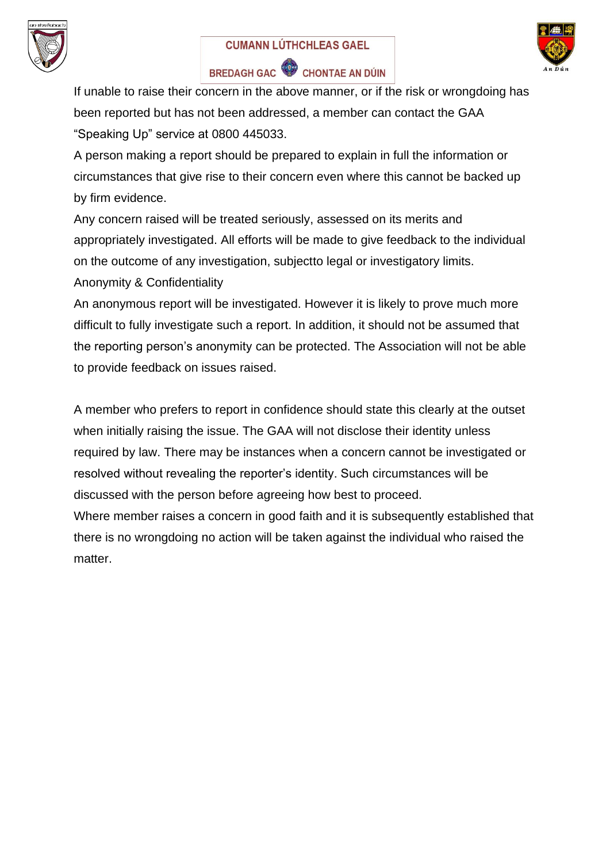





# BREDAGH GAC CHONTAE AN DÚIN

If unable to raise their concern in the above manner, or if the risk or wrongdoing has been reported but has not been addressed, a member can contact the GAA "Speaking Up" service at 0800 445033.

A person making a report should be prepared to explain in full the information or circumstances that give rise to their concern even where this cannot be backed up by firm evidence.

Any concern raised will be treated seriously, assessed on its merits and appropriately investigated. All efforts will be made to give feedback to the individual on the outcome of any investigation, subjectto legal or investigatory limits. Anonymity & Confidentiality

An anonymous report will be investigated. However it is likely to prove much more difficult to fully investigate such a report. In addition, it should not be assumed that the reporting person's anonymity can be protected. The Association will not be able to provide feedback on issues raised.

A member who prefers to report in confidence should state this clearly at the outset when initially raising the issue. The GAA will not disclose their identity unless required by law. There may be instances when a concern cannot be investigated or resolved without revealing the reporter's identity. Such circumstances will be discussed with the person before agreeing how best to proceed.

Where member raises a concern in good faith and it is subsequently established that there is no wrongdoing no action will be taken against the individual who raised the matter